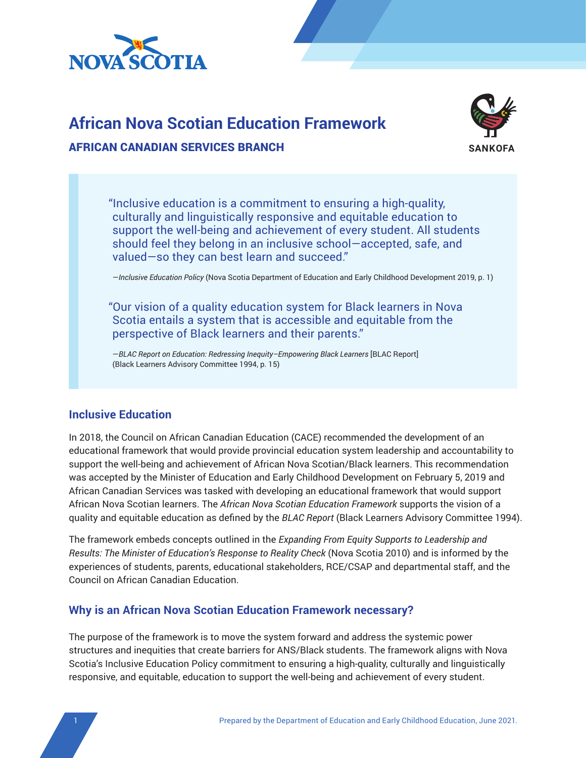

# **African Nova Scotian Education Framework**



## AFRICAN CANADIAN SERVICES BRANCH

"Inclusive education is a commitment to ensuring a high-quality, culturally and linguistically responsive and equitable education to support the well-being and achievement of every student. All students should feel they belong in an inclusive school—accepted, safe, and valued—so they can best learn and succeed."

—*Inclusive Education Policy* (Nova Scotia Department of Education and Early Childhood Development 2019, p. 1)

"Our vision of a quality education system for Black learners in Nova Scotia entails a system that is accessible and equitable from the perspective of Black learners and their parents."

—*BLAC Report on Education: Redressing Inequity–Empowering Black Learners* [BLAC Report] (Black Learners Advisory Committee 1994, p. 15)

# **Inclusive Education**

In 2018, the Council on African Canadian Education (CACE) recommended the development of an educational framework that would provide provincial education system leadership and accountability to support the well-being and achievement of African Nova Scotian/Black learners. This recommendation was accepted by the Minister of Education and Early Childhood Development on February 5, 2019 and African Canadian Services was tasked with developing an educational framework that would support African Nova Scotian learners. The *African Nova Scotian Education Framework* supports the vision of a quality and equitable education as defined by the *BLAC Report* (Black Learners Advisory Committee 1994).

The framework embeds concepts outlined in the *Expanding From Equity Supports to Leadership and Results: The Minister of Education's Response to Reality Check* (Nova Scotia 2010) and is informed by the experiences of students, parents, educational stakeholders, RCE/CSAP and departmental staff, and the Council on African Canadian Education.

# **Why is an African Nova Scotian Education Framework necessary?**

The purpose of the framework is to move the system forward and address the systemic power structures and inequities that create barriers for ANS/Black students. The framework aligns with Nova Scotia's Inclusive Education Policy commitment to ensuring a high-quality, culturally and linguistically responsive, and equitable, education to support the well-being and achievement of every student.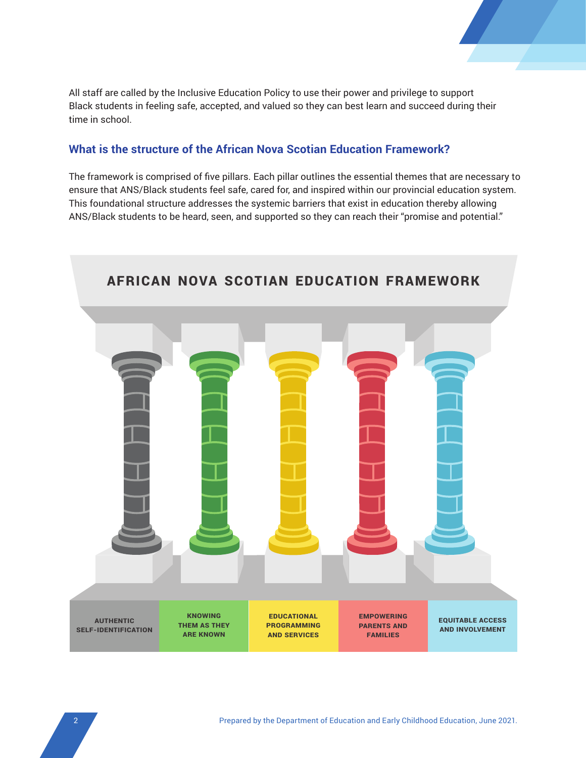

All staff are called by the Inclusive Education Policy to use their power and privilege to support Black students in feeling safe, accepted, and valued so they can best learn and succeed during their time in school.

# **What is the structure of the African Nova Scotian Education Framework?**

The framework is comprised of five pillars. Each pillar outlines the essential themes that are necessary to ensure that ANS/Black students feel safe, cared for, and inspired within our provincial education system. This foundational structure addresses the systemic barriers that exist in education thereby allowing ANS/Black students to be heard, seen, and supported so they can reach their "promise and potential."

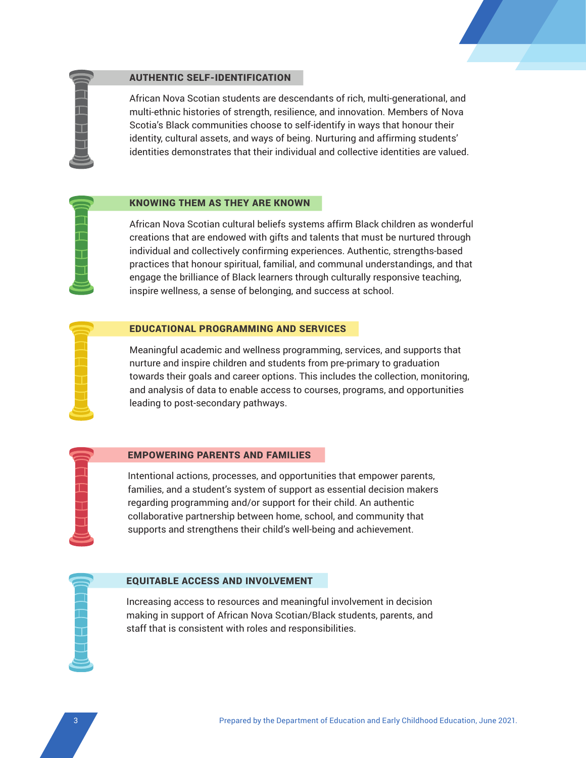



### AUTHENTIC SELF-IDENTIFICATION

African Nova Scotian students are descendants of rich, multi-generational, and multi-ethnic histories of strength, resilience, and innovation. Members of Nova Scotia's Black communities choose to self-identify in ways that honour their identity, cultural assets, and ways of being. Nurturing and affirming students' identities demonstrates that their individual and collective identities are valued.

### KNOWING THEM AS THEY ARE KNOWN

African Nova Scotian cultural beliefs systems affirm Black children as wonderful creations that are endowed with gifts and talents that must be nurtured through individual and collectively confirming experiences. Authentic, strengths-based practices that honour spiritual, familial, and communal understandings, and that engage the brilliance of Black learners through culturally responsive teaching, inspire wellness, a sense of belonging, and success at school.

### EDUCATIONAL PROGRAMMING AND SERVICES

Meaningful academic and wellness programming, services, and supports that nurture and inspire children and students from pre-primary to graduation towards their goals and career options. This includes the collection, monitoring, and analysis of data to enable access to courses, programs, and opportunities leading to post-secondary pathways.

### EMPOWERING PARENTS AND FAMILIES

Intentional actions, processes, and opportunities that empower parents, families, and a student's system of support as essential decision makers regarding programming and/or support for their child. An authentic collaborative partnership between home, school, and community that supports and strengthens their child's well-being and achievement.

### EQUITABLE ACCESS AND INVOLVEMENT

Increasing access to resources and meaningful involvement in decision making in support of African Nova Scotian/Black students, parents, and staff that is consistent with roles and responsibilities.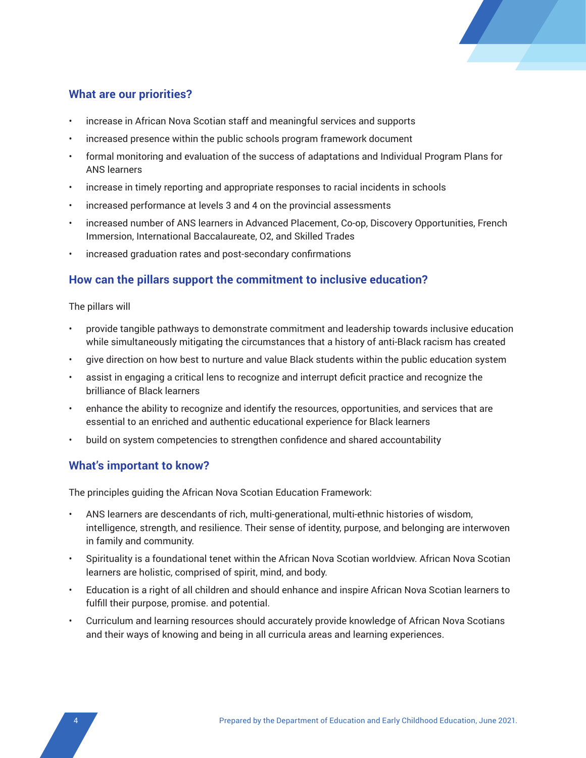

# **What are our priorities?**

- increase in African Nova Scotian staff and meaningful services and supports
- increased presence within the public schools program framework document
- formal monitoring and evaluation of the success of adaptations and Individual Program Plans for ANS learners
- increase in timely reporting and appropriate responses to racial incidents in schools
- increased performance at levels 3 and 4 on the provincial assessments
- increased number of ANS learners in Advanced Placement, Co-op, Discovery Opportunities, French Immersion, International Baccalaureate, O2, and Skilled Trades
- increased graduation rates and post-secondary confirmations

### **How can the pillars support the commitment to inclusive education?**

### The pillars will

- provide tangible pathways to demonstrate commitment and leadership towards inclusive education while simultaneously mitigating the circumstances that a history of anti-Black racism has created
- give direction on how best to nurture and value Black students within the public education system
- assist in engaging a critical lens to recognize and interrupt deficit practice and recognize the brilliance of Black learners
- enhance the ability to recognize and identify the resources, opportunities, and services that are essential to an enriched and authentic educational experience for Black learners
- build on system competencies to strengthen confidence and shared accountability

### **What's important to know?**

The principles guiding the African Nova Scotian Education Framework:

- ANS learners are descendants of rich, multi-generational, multi-ethnic histories of wisdom, intelligence, strength, and resilience. Their sense of identity, purpose, and belonging are interwoven in family and community.
- Spirituality is a foundational tenet within the African Nova Scotian worldview. African Nova Scotian learners are holistic, comprised of spirit, mind, and body.
- Education is a right of all children and should enhance and inspire African Nova Scotian learners to fulfill their purpose, promise. and potential.
- Curriculum and learning resources should accurately provide knowledge of African Nova Scotians and their ways of knowing and being in all curricula areas and learning experiences.